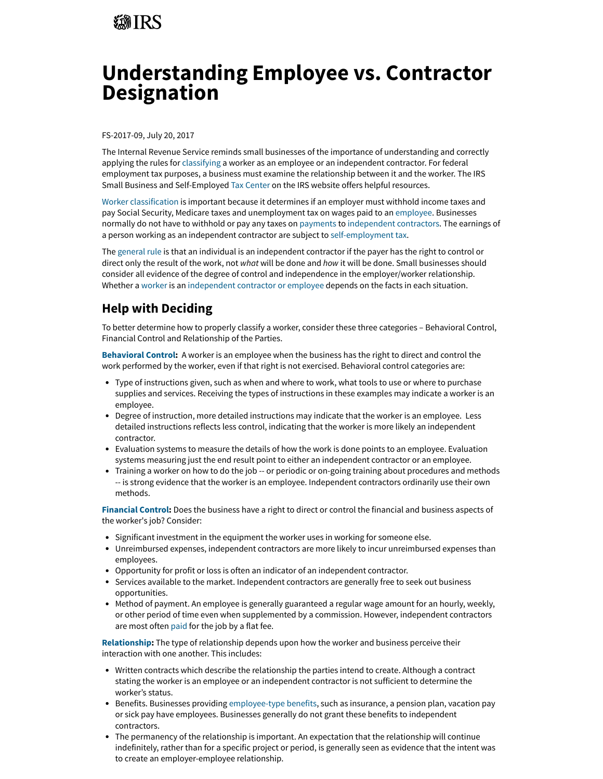# *第TRS*

# **Understanding Employee vs. Contractor Designation**

FS-2017-09, July 20, 2017

The Internal Revenue Service reminds small businesses of the importance of understanding and correctly applying the rules for [classifying](https://www.irs.gov/newsroom/employee-or-independent-contractor-know-the-rules) a worker as an employee or an independent contractor. For federal employment tax purposes, a business must examine the relationship between it and the worker. The IRS Small Business and Self-Employed [Tax Center](https://www.irs.gov/node/18901) on the IRS website offers helpful resources.

[Worker classification](https://www.irs.gov/businesses/small-businesses-self-employed/independent-contractor-self-employed-or-employee) is important because it determines if an employer must withhold income taxes and pay Social Security, Medicare taxes and unemployment tax on wages paid to an [employee.](https://www.irs.gov/businesses/small-businesses-self-employed/employee-common-law-employee) Businesses normally do not have to withhold or pay any taxes on [payments](https://www.irs.gov/businesses/small-businesses-self-employed/reporting-payments-to-independent-contractors) to [independent contractors](https://www.irs.gov/businesses/small-businesses-self-employed/independent-contractor-defined). The earnings of a person working as an independent contractor are subject to [self-employment tax](https://www.irs.gov/forms-pubs/about-publication-54-chapter-3-useful-items).

The [general rule](https://www.irs.gov/newsroom/employee-or-independent-contractor-know-the-rules) is that an individual is an independent contractor if the payer has the right to control or direct only the result of the work, not what will be done and how it will be done. Small businesses should consider all evidence of the degree of control and independence in the employer/worker relationship. Whether a [worker](https://www.irs.gov/forms-pubs/about-form-ss-8) is an [independent contractor or employee](https://www.irs.gov/taxtopics/tc762) depends on the facts in each situation.

## **Help with Deciding**

To better determine how to properly classify a worker, consider these three categories – Behavioral Control, Financial Control and Relationship of the Parties.

**[Behavioral Control](https://www.irs.gov/businesses/small-businesses-self-employed/behavioral-control):**  A worker is an employee when the business has the right to direct and control the work performed by the worker, even if that right is not exercised. Behavioral control categories are:

- Type of instructions given, such as when and where to work, what tools to use or where to purchase supplies and services. Receiving the types of instructions in these examples may indicate a worker is an employee.
- Degree of instruction, more detailed instructions may indicate that the worker is an employee. Less detailed instructions reflects less control, indicating that the worker is more likely an independent contractor.
- Evaluation systems to measure the details of how the work is done points to an employee. Evaluation systems measuring just the end result point to either an independent contractor or an employee.
- Training a worker on how to do the job -- or periodic or on-going training about procedures and methods -- is strong evidence that the worker is an employee. Independent contractors ordinarily use their own methods.

**[Financial Control:](https://www.irs.gov/businesses/small-businesses-self-employed/financial-control)** Does the business have a right to direct or control the financial and business aspects of the worker's job? Consider:

- Significant investment in the equipment the worker uses in working for someone else.
- Unreimbursed expenses, independent contractors are more likely to incur unreimbursed expenses than employees.
- Opportunity for profit or loss is often an indicator of an independent contractor.
- Services available to the market. Independent contractors are generally free to seek out business opportunities.
- Method of payment. An employee is generally guaranteed a regular wage amount for an hourly, weekly, or other period of time even when supplemented by a commission. However, independent contractors are most often [paid](https://www.irs.gov/businesses/small-businesses-self-employed/reporting-payments-to-independent-contractors) for the job by a flat fee.

**[Relationship:](https://www.irs.gov/businesses/small-businesses-self-employed/type-of-relationship)** The type of relationship depends upon how the worker and business perceive their interaction with one another. This includes:

- Written contracts which describe the relationship the parties intend to create. Although a contract stating the worker is an employee or an independent contractor is not sufficient to determine the worker's status.
- Benefits. Businesses providing [employee-type benefits,](https://www.irs.gov/businesses/small-businesses-self-employed/employee-benefits) such as insurance, a pension plan, vacation pay or sick pay have employees. Businesses generally do not grant these benefits to independent contractors.
- The permanency of the relationship is important. An expectation that the relationship will continue indefinitely, rather than for a specific project or period, is generally seen as evidence that the intent was to create an employer-employee relationship.